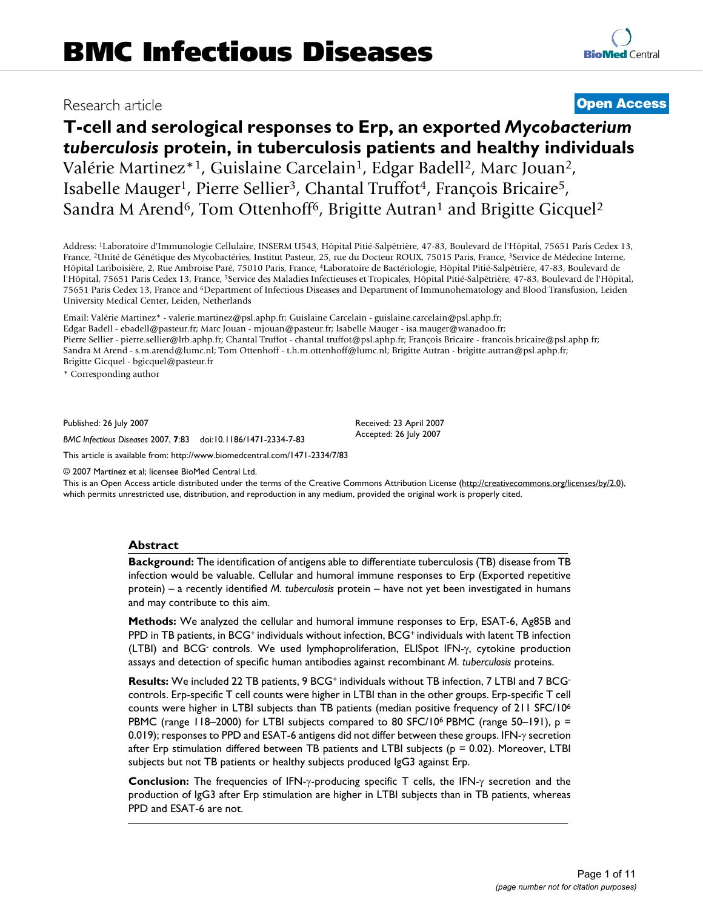# Research article **[Open Access](http://www.biomedcentral.com/info/about/charter/)**

**[BioMed](http://www.biomedcentral.com/)** Central

# **T-cell and serological responses to Erp, an exported** *Mycobacterium tuberculosis* **protein, in tuberculosis patients and healthy individuals** Valérie Martinez<sup>\*1</sup>, Guislaine Carcelain<sup>1</sup>, Edgar Badell<sup>2</sup>, Marc Jouan<sup>2</sup>, Isabelle Mauger<sup>1</sup>, Pierre Sellier<sup>3</sup>, Chantal Truffot<sup>4</sup>, François Bricaire<sup>5</sup>, Sandra M Arend<sup>6</sup>, Tom Ottenhoff<sup>6</sup>, Brigitte Autran<sup>1</sup> and Brigitte Gicquel<sup>2</sup>

Address: 1Laboratoire d'Immunologie Cellulaire, INSERM U543, Hôpital Pitié-Salpêtrière, 47-83, Boulevard de l'Hôpital, 75651 Paris Cedex 13, France, <sup>2</sup>Unité de Génétique des Mycobactéries, Institut Pasteur, 25, rue du Docteur ROUX, 75015 Paris, France, <sup>3</sup>Service de Médecine Interne, Hôpital Lariboisière, 2, Rue Ambroise Paré, 75010 Paris, France, 4Laboratoire de Bactériologie, Hôpital Pitié-Salpêtrière, 47-83, Boulevard de l'Hôpital, 75651 Paris Cedex 13, France, 5Service des Maladies Infectieuses et Tropicales, Hôpital Pitié-Salpêtrière, 47-83, Boulevard de l'Hôpital, 75651 Paris Cedex 13, France and 6Department of Infectious Diseases and Department of Immunohematology and Blood Transfusion, Leiden University Medical Center, Leiden, Netherlands

Email: Valérie Martinez\* - valerie.martinez@psl.aphp.fr; Guislaine Carcelain - guislaine.carcelain@psl.aphp.fr; Edgar Badell - ebadell@pasteur.fr; Marc Jouan - mjouan@pasteur.fr; Isabelle Mauger - isa.mauger@wanadoo.fr; Pierre Sellier - pierre.sellier@lrb.aphp.fr; Chantal Truffot - chantal.truffot@psl.aphp.fr; François Bricaire - francois.bricaire@psl.aphp.fr; Sandra M Arend - s.m.arend@lumc.nl; Tom Ottenhoff - t.h.m.ottenhoff@lumc.nl; Brigitte Autran - brigitte.autran@psl.aphp.fr; Brigitte Gicquel - bgicquel@pasteur.fr

\* Corresponding author

Published: 26 July 2007

*BMC Infectious Diseases* 2007, **7**:83 doi:10.1186/1471-2334-7-83

[This article is available from: http://www.biomedcentral.com/1471-2334/7/83](http://www.biomedcentral.com/1471-2334/7/83)

© 2007 Martinez et al; licensee BioMed Central Ltd.

This is an Open Access article distributed under the terms of the Creative Commons Attribution License [\(http://creativecommons.org/licenses/by/2.0\)](http://creativecommons.org/licenses/by/2.0), which permits unrestricted use, distribution, and reproduction in any medium, provided the original work is properly cited.

Received: 23 April 2007 Accepted: 26 July 2007

# **Abstract**

**Background:** The identification of antigens able to differentiate tuberculosis (TB) disease from TB infection would be valuable. Cellular and humoral immune responses to Erp (Exported repetitive protein) – a recently identified *M. tuberculosis* protein – have not yet been investigated in humans and may contribute to this aim.

**Methods:** We analyzed the cellular and humoral immune responses to Erp, ESAT-6, Ag85B and PPD in TB patients, in BCG+ individuals without infection, BCG+ individuals with latent TB infection (LTBI) and BCG- controls. We used lymphoproliferation, ELISpot IFN-γ, cytokine production assays and detection of specific human antibodies against recombinant *M. tuberculosis* proteins.

**Results:** We included 22 TB patients, 9 BCG+ individuals without TB infection, 7 LTBI and 7 BCGcontrols. Erp-specific T cell counts were higher in LTBI than in the other groups. Erp-specific T cell counts were higher in LTBI subjects than TB patients (median positive frequency of 211 SFC/106 PBMC (range 118–2000) for LTBI subjects compared to 80 SFC/10<sup>6</sup> PBMC (range 50–191),  $p =$ 0.019); responses to PPD and ESAT-6 antigens did not differ between these groups. IFN-γ secretion after Erp stimulation differed between TB patients and LTBI subjects (p = 0.02). Moreover, LTBI subjects but not TB patients or healthy subjects produced IgG3 against Erp.

**Conclusion:** The frequencies of IFN-γ-producing specific T cells, the IFN-γ secretion and the production of IgG3 after Erp stimulation are higher in LTBI subjects than in TB patients, whereas PPD and ESAT-6 are not.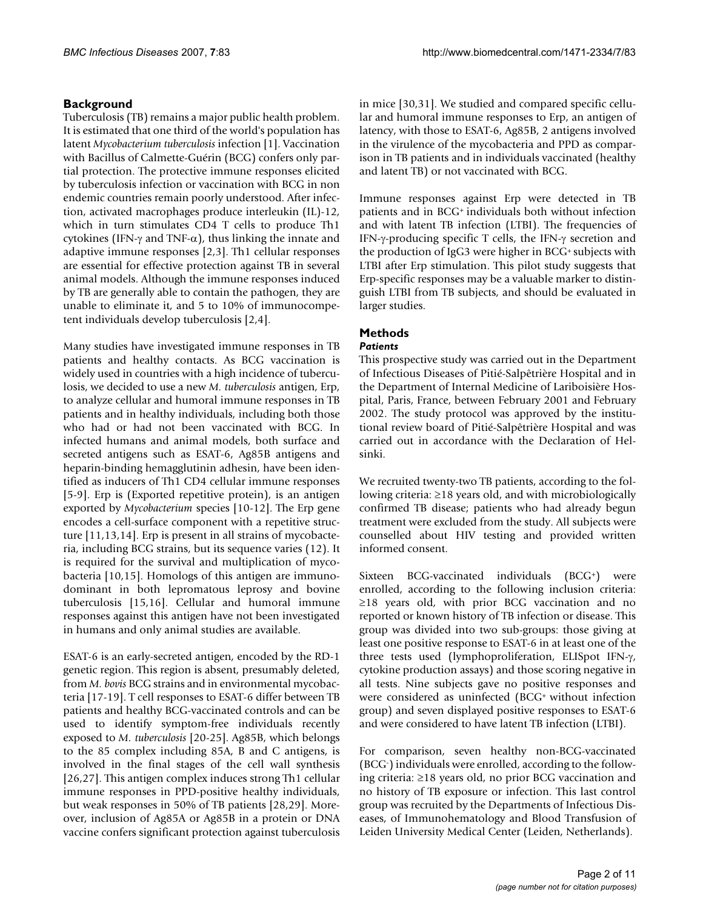# **Background**

Tuberculosis (TB) remains a major public health problem. It is estimated that one third of the world's population has latent *Mycobacterium tuberculosis* infection [1]. Vaccination with Bacillus of Calmette-Guérin (BCG) confers only partial protection. The protective immune responses elicited by tuberculosis infection or vaccination with BCG in non endemic countries remain poorly understood. After infection, activated macrophages produce interleukin (IL)-12, which in turn stimulates CD4 T cells to produce Th1 cytokines (IFN-γ and TNF-α), thus linking the innate and adaptive immune responses [2,3]. Th1 cellular responses are essential for effective protection against TB in several animal models. Although the immune responses induced by TB are generally able to contain the pathogen, they are unable to eliminate it, and 5 to 10% of immunocompetent individuals develop tuberculosis [2,4].

Many studies have investigated immune responses in TB patients and healthy contacts. As BCG vaccination is widely used in countries with a high incidence of tuberculosis, we decided to use a new *M. tuberculosis* antigen, Erp, to analyze cellular and humoral immune responses in TB patients and in healthy individuals, including both those who had or had not been vaccinated with BCG. In infected humans and animal models, both surface and secreted antigens such as ESAT-6, Ag85B antigens and heparin-binding hemagglutinin adhesin, have been identified as inducers of Th1 CD4 cellular immune responses [5-9]. Erp is (Exported repetitive protein), is an antigen exported by *Mycobacterium* species [10-12]. The Erp gene encodes a cell-surface component with a repetitive structure [11,13,14]. Erp is present in all strains of mycobacteria, including BCG strains, but its sequence varies (12). It is required for the survival and multiplication of mycobacteria [10,15]. Homologs of this antigen are immunodominant in both lepromatous leprosy and bovine tuberculosis [15,16]. Cellular and humoral immune responses against this antigen have not been investigated in humans and only animal studies are available.

ESAT-6 is an early-secreted antigen, encoded by the RD-1 genetic region. This region is absent, presumably deleted, from *M. bovis* BCG strains and in environmental mycobacteria [17-19]. T cell responses to ESAT-6 differ between TB patients and healthy BCG-vaccinated controls and can be used to identify symptom-free individuals recently exposed to *M. tuberculosis* [20-25]. Ag85B, which belongs to the 85 complex including 85A, B and C antigens, is involved in the final stages of the cell wall synthesis [26,27]. This antigen complex induces strong Th1 cellular immune responses in PPD-positive healthy individuals, but weak responses in 50% of TB patients [28,29]. Moreover, inclusion of Ag85A or Ag85B in a protein or DNA vaccine confers significant protection against tuberculosis

in mice [30,31]. We studied and compared specific cellular and humoral immune responses to Erp, an antigen of latency, with those to ESAT-6, Ag85B, 2 antigens involved in the virulence of the mycobacteria and PPD as comparison in TB patients and in individuals vaccinated (healthy and latent TB) or not vaccinated with BCG.

Immune responses against Erp were detected in TB patients and in BCG+ individuals both without infection and with latent TB infection (LTBI). The frequencies of IFN-γ-producing specific T cells, the IFN-γ secretion and the production of IgG3 were higher in BCG+ subjects with LTBI after Erp stimulation. This pilot study suggests that Erp-specific responses may be a valuable marker to distinguish LTBI from TB subjects, and should be evaluated in larger studies.

# **Methods**

# *Patients*

This prospective study was carried out in the Department of Infectious Diseases of Pitié-Salpêtrière Hospital and in the Department of Internal Medicine of Lariboisière Hospital, Paris, France, between February 2001 and February 2002. The study protocol was approved by the institutional review board of Pitié-Salpêtrière Hospital and was carried out in accordance with the Declaration of Helsinki.

We recruited twenty-two TB patients, according to the following criteria: ≥18 years old, and with microbiologically confirmed TB disease; patients who had already begun treatment were excluded from the study. All subjects were counselled about HIV testing and provided written informed consent.

Sixteen BCG-vaccinated individuals (BCG+) were enrolled, according to the following inclusion criteria: ≥18 years old, with prior BCG vaccination and no reported or known history of TB infection or disease. This group was divided into two sub-groups: those giving at least one positive response to ESAT-6 in at least one of the three tests used (lymphoproliferation, ELISpot IFN-γ, cytokine production assays) and those scoring negative in all tests. Nine subjects gave no positive responses and were considered as uninfected (BCG+ without infection group) and seven displayed positive responses to ESAT-6 and were considered to have latent TB infection (LTBI).

For comparison, seven healthy non-BCG-vaccinated (BCG- ) individuals were enrolled, according to the following criteria: ≥18 years old, no prior BCG vaccination and no history of TB exposure or infection. This last control group was recruited by the Departments of Infectious Diseases, of Immunohematology and Blood Transfusion of Leiden University Medical Center (Leiden, Netherlands).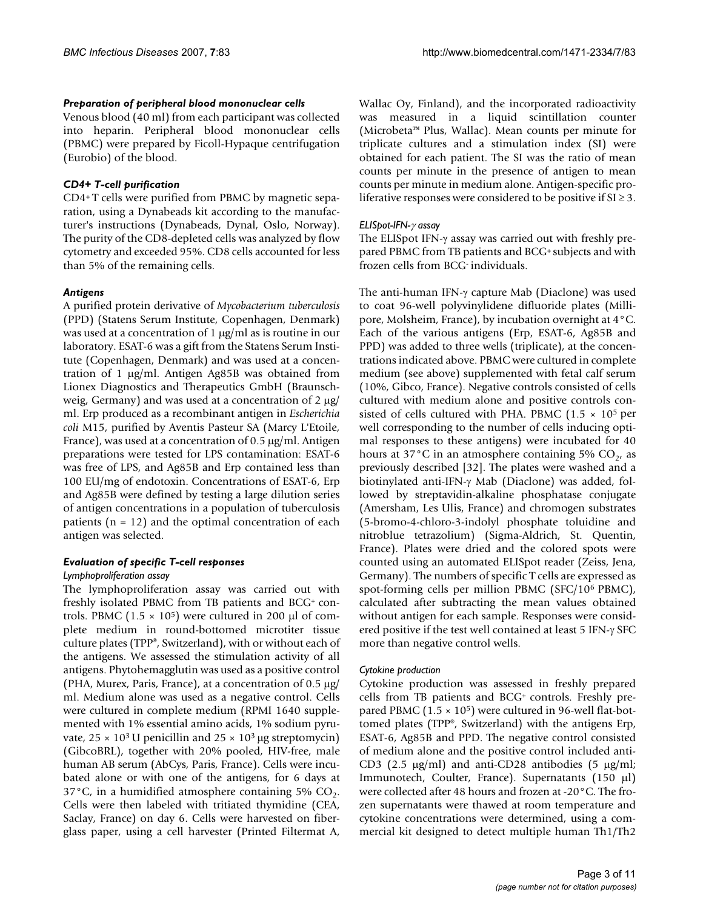#### *Preparation of peripheral blood mononuclear cells*

Venous blood (40 ml) from each participant was collected into heparin. Peripheral blood mononuclear cells (PBMC) were prepared by Ficoll-Hypaque centrifugation (Eurobio) of the blood.

# *CD4+ T-cell purification*

CD4+ T cells were purified from PBMC by magnetic separation, using a Dynabeads kit according to the manufacturer's instructions (Dynabeads, Dynal, Oslo, Norway). The purity of the CD8-depleted cells was analyzed by flow cytometry and exceeded 95%. CD8 cells accounted for less than 5% of the remaining cells.

#### *Antigens*

A purified protein derivative of *Mycobacterium tuberculosis* (PPD) (Statens Serum Institute, Copenhagen, Denmark) was used at a concentration of 1 μg/ml as is routine in our laboratory. ESAT-6 was a gift from the Statens Serum Institute (Copenhagen, Denmark) and was used at a concentration of 1 μg/ml. Antigen Ag85B was obtained from Lionex Diagnostics and Therapeutics GmbH (Braunschweig, Germany) and was used at a concentration of 2 μg/ ml. Erp produced as a recombinant antigen in *Escherichia coli* M15, purified by Aventis Pasteur SA (Marcy L'Etoile, France), was used at a concentration of 0.5 μg/ml. Antigen preparations were tested for LPS contamination: ESAT-6 was free of LPS, and Ag85B and Erp contained less than 100 EU/mg of endotoxin. Concentrations of ESAT-6, Erp and Ag85B were defined by testing a large dilution series of antigen concentrations in a population of tuberculosis patients  $(n = 12)$  and the optimal concentration of each antigen was selected.

#### *Evaluation of specific T-cell responses*

#### *Lymphoproliferation assay*

The lymphoproliferation assay was carried out with freshly isolated PBMC from TB patients and BCG+ controls. PBMC (1.5  $\times$  10<sup>5</sup>) were cultured in 200 μl of complete medium in round-bottomed microtiter tissue culture plates (TPP®, Switzerland), with or without each of the antigens. We assessed the stimulation activity of all antigens. Phytohemagglutin was used as a positive control (PHA, Murex, Paris, France), at a concentration of 0.5 μg/ ml. Medium alone was used as a negative control. Cells were cultured in complete medium (RPMI 1640 supplemented with 1% essential amino acids, 1% sodium pyruvate,  $25 \times 10^3$  U penicillin and  $25 \times 10^3$  µg streptomycin) (GibcoBRL), together with 20% pooled, HIV-free, male human AB serum (AbCys, Paris, France). Cells were incubated alone or with one of the antigens, for 6 days at  $37^{\circ}$ C, in a humidified atmosphere containing 5% CO<sub>2</sub>. Cells were then labeled with tritiated thymidine (CEA, Saclay, France) on day 6. Cells were harvested on fiberglass paper, using a cell harvester (Printed Filtermat A,

Wallac Oy, Finland), and the incorporated radioactivity was measured in a liquid scintillation counter (Microbeta™ Plus, Wallac). Mean counts per minute for triplicate cultures and a stimulation index (SI) were obtained for each patient. The SI was the ratio of mean counts per minute in the presence of antigen to mean counts per minute in medium alone. Antigen-specific proliferative responses were considered to be positive if  $SI \geq 3$ .

### *ELISpot-IFN-*γ *assay*

The ELISpot IFN-γ assay was carried out with freshly prepared PBMC from TB patients and BCG+ subjects and with frozen cells from BCG- individuals.

The anti-human IFN-γ capture Mab (Diaclone) was used to coat 96-well polyvinylidene difluoride plates (Millipore, Molsheim, France), by incubation overnight at 4°C. Each of the various antigens (Erp, ESAT-6, Ag85B and PPD) was added to three wells (triplicate), at the concentrations indicated above. PBMC were cultured in complete medium (see above) supplemented with fetal calf serum (10%, Gibco, France). Negative controls consisted of cells cultured with medium alone and positive controls consisted of cells cultured with PHA. PBMC  $(1.5 \times 10^5)$  per well corresponding to the number of cells inducing optimal responses to these antigens) were incubated for 40 hours at 37°C in an atmosphere containing 5%  $CO<sub>2</sub>$ , as previously described [32]. The plates were washed and a biotinylated anti-IFN-γ Mab (Diaclone) was added, followed by streptavidin-alkaline phosphatase conjugate (Amersham, Les Ulis, France) and chromogen substrates (5-bromo-4-chloro-3-indolyl phosphate toluidine and nitroblue tetrazolium) (Sigma-Aldrich, St. Quentin, France). Plates were dried and the colored spots were counted using an automated ELISpot reader (Zeiss, Jena, Germany). The numbers of specific T cells are expressed as spot-forming cells per million PBMC (SFC/106 PBMC), calculated after subtracting the mean values obtained without antigen for each sample. Responses were considered positive if the test well contained at least 5 IFN-γ SFC more than negative control wells.

# *Cytokine production*

Cytokine production was assessed in freshly prepared cells from TB patients and BCG+ controls. Freshly prepared PBMC ( $1.5 \times 10^5$ ) were cultured in 96-well flat-bottomed plates (TPP®, Switzerland) with the antigens Erp, ESAT-6, Ag85B and PPD. The negative control consisted of medium alone and the positive control included anti-CD3 (2.5  $\mu$ g/ml) and anti-CD28 antibodies (5  $\mu$ g/ml; Immunotech, Coulter, France). Supernatants (150 μl) were collected after 48 hours and frozen at -20°C. The frozen supernatants were thawed at room temperature and cytokine concentrations were determined, using a commercial kit designed to detect multiple human Th1/Th2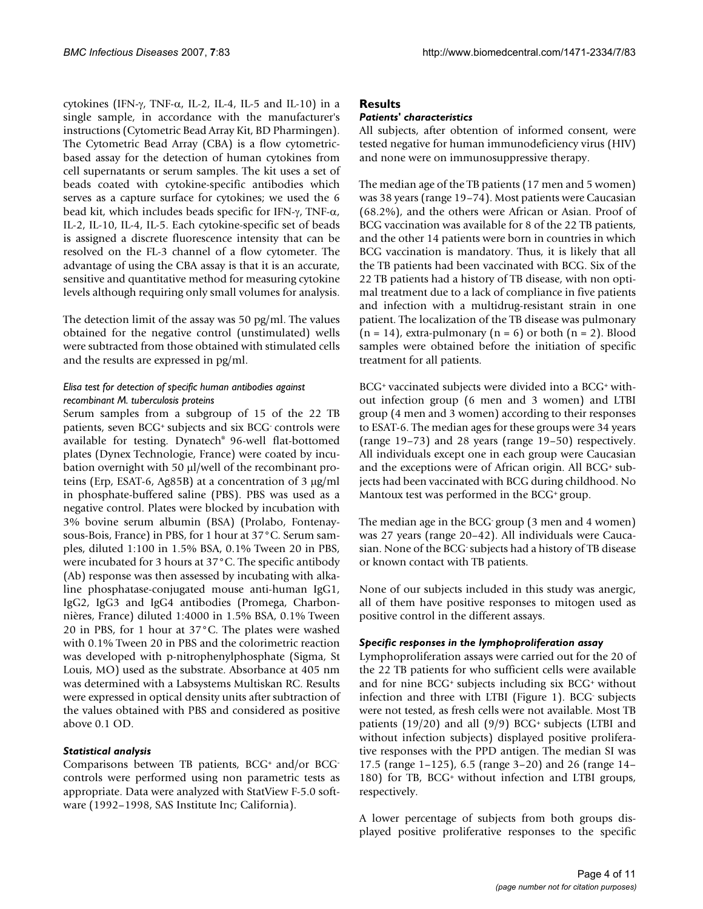cytokines (IFN-γ, TNF-α, IL-2, IL-4, IL-5 and IL-10) in a single sample, in accordance with the manufacturer's instructions (Cytometric Bead Array Kit, BD Pharmingen). The Cytometric Bead Array (CBA) is a flow cytometricbased assay for the detection of human cytokines from cell supernatants or serum samples. The kit uses a set of beads coated with cytokine-specific antibodies which serves as a capture surface for cytokines; we used the 6 bead kit, which includes beads specific for IFN-γ, TNF-α, IL-2, IL-10, IL-4, IL-5. Each cytokine-specific set of beads is assigned a discrete fluorescence intensity that can be resolved on the FL-3 channel of a flow cytometer. The advantage of using the CBA assay is that it is an accurate, sensitive and quantitative method for measuring cytokine levels although requiring only small volumes for analysis.

The detection limit of the assay was 50 pg/ml. The values obtained for the negative control (unstimulated) wells were subtracted from those obtained with stimulated cells and the results are expressed in pg/ml.

### *Elisa test for detection of specific human antibodies against recombinant M. tuberculosis proteins*

Serum samples from a subgroup of 15 of the 22 TB patients, seven BCG+ subjects and six BCG- controls were available for testing. Dynatech® 96-well flat-bottomed plates (Dynex Technologie, France) were coated by incubation overnight with 50 μl/well of the recombinant proteins (Erp, ESAT-6, Ag85B) at a concentration of 3 μg/ml in phosphate-buffered saline (PBS). PBS was used as a negative control. Plates were blocked by incubation with 3% bovine serum albumin (BSA) (Prolabo, Fontenaysous-Bois, France) in PBS, for 1 hour at 37°C. Serum samples, diluted 1:100 in 1.5% BSA, 0.1% Tween 20 in PBS, were incubated for 3 hours at 37°C. The specific antibody (Ab) response was then assessed by incubating with alkaline phosphatase-conjugated mouse anti-human IgG1, IgG2, IgG3 and IgG4 antibodies (Promega, Charbonnières, France) diluted 1:4000 in 1.5% BSA, 0.1% Tween 20 in PBS, for 1 hour at 37°C. The plates were washed with 0.1% Tween 20 in PBS and the colorimetric reaction was developed with p-nitrophenylphosphate (Sigma, St Louis, MO) used as the substrate. Absorbance at 405 nm was determined with a Labsystems Multiskan RC. Results were expressed in optical density units after subtraction of the values obtained with PBS and considered as positive above 0.1 OD.

# *Statistical analysis*

Comparisons between TB patients, BCG+ and/or BCGcontrols were performed using non parametric tests as appropriate. Data were analyzed with StatView F-5.0 software (1992–1998, SAS Institute Inc; California).

### **Results**

#### *Patients' characteristics*

All subjects, after obtention of informed consent, were tested negative for human immunodeficiency virus (HIV) and none were on immunosuppressive therapy.

The median age of the TB patients (17 men and 5 women) was 38 years (range 19–74). Most patients were Caucasian (68.2%), and the others were African or Asian. Proof of BCG vaccination was available for 8 of the 22 TB patients, and the other 14 patients were born in countries in which BCG vaccination is mandatory. Thus, it is likely that all the TB patients had been vaccinated with BCG. Six of the 22 TB patients had a history of TB disease, with non optimal treatment due to a lack of compliance in five patients and infection with a multidrug-resistant strain in one patient. The localization of the TB disease was pulmonary  $(n = 14)$ , extra-pulmonary  $(n = 6)$  or both  $(n = 2)$ . Blood samples were obtained before the initiation of specific treatment for all patients.

BCG+ vaccinated subjects were divided into a BCG+ without infection group (6 men and 3 women) and LTBI group (4 men and 3 women) according to their responses to ESAT-6. The median ages for these groups were 34 years (range 19–73) and 28 years (range 19–50) respectively. All individuals except one in each group were Caucasian and the exceptions were of African origin. All BCG+ subjects had been vaccinated with BCG during childhood. No Mantoux test was performed in the BCG+ group.

The median age in the BCG- group (3 men and 4 women) was 27 years (range 20–42). All individuals were Caucasian. None of the BCG- subjects had a history of TB disease or known contact with TB patients.

None of our subjects included in this study was anergic, all of them have positive responses to mitogen used as positive control in the different assays.

#### *Specific responses in the lymphoproliferation assay*

Lymphoproliferation assays were carried out for the 20 of the 22 TB patients for who sufficient cells were available and for nine BCG+ subjects including six BCG+ without infection and three with LTBI (Figure 1). BCG- subjects were not tested, as fresh cells were not available. Most TB patients (19/20) and all (9/9) BCG+ subjects (LTBI and without infection subjects) displayed positive proliferative responses with the PPD antigen. The median SI was 17.5 (range 1–125), 6.5 (range 3–20) and 26 (range 14– 180) for TB, BCG+ without infection and LTBI groups, respectively.

A lower percentage of subjects from both groups displayed positive proliferative responses to the specific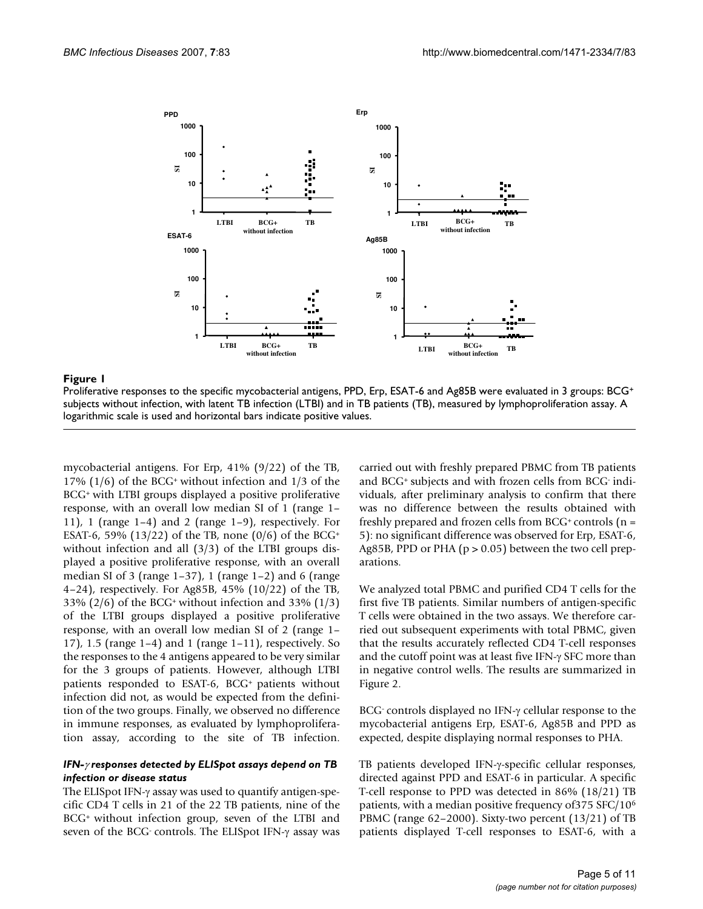

#### Figure 1 and 2008 and 2008 and 2008 and 2008 and 2008 and 2008 and 2008 and 2008 and 2008 and 2008 and 2008 an

Proliferative responses to the specific mycobacterial antigens, PPD, Erp, ESAT-6 and Ag85B were evaluated in 3 groups: BCG+ subjects without infection, with latent TB infection (LTBI) and in TB patients (TB), measured by lymphoproliferation assay. A logarithmic scale is used and horizontal bars indicate positive values.

mycobacterial antigens. For Erp, 41% (9/22) of the TB, 17% (1/6) of the BCG+ without infection and 1/3 of the BCG+ with LTBI groups displayed a positive proliferative response, with an overall low median SI of 1 (range 1– 11), 1 (range 1–4) and 2 (range 1–9), respectively. For ESAT-6, 59% (13/22) of the TB, none  $(0/6)$  of the BCG<sup>+</sup> without infection and all (3/3) of the LTBI groups displayed a positive proliferative response, with an overall median SI of 3 (range 1–37), 1 (range 1–2) and 6 (range 4–24), respectively. For Ag85B, 45% (10/22) of the TB, 33% (2/6) of the BCG<sup>+</sup> without infection and 33% (1/3) of the LTBI groups displayed a positive proliferative response, with an overall low median SI of 2 (range 1– 17), 1.5 (range 1–4) and 1 (range 1–11), respectively. So the responses to the 4 antigens appeared to be very similar for the 3 groups of patients. However, although LTBI patients responded to ESAT-6, BCG+ patients without infection did not, as would be expected from the definition of the two groups. Finally, we observed no difference in immune responses, as evaluated by lymphoproliferation assay, according to the site of TB infection.

#### *IFN-*γ *responses detected by ELISpot assays depend on TB infection or disease status*

The ELISpot IFN-γ assay was used to quantify antigen-specific CD4 T cells in 21 of the 22 TB patients, nine of the BCG+ without infection group, seven of the LTBI and seven of the BCG- controls. The ELISpot IFN-γ assay was

carried out with freshly prepared PBMC from TB patients and BCG+ subjects and with frozen cells from BCG- individuals, after preliminary analysis to confirm that there was no difference between the results obtained with freshly prepared and frozen cells from  $BCG<sup>+</sup>$  controls (n = 5): no significant difference was observed for Erp, ESAT-6, Ag85B, PPD or PHA ( $p > 0.05$ ) between the two cell preparations.

We analyzed total PBMC and purified CD4 T cells for the first five TB patients. Similar numbers of antigen-specific T cells were obtained in the two assays. We therefore carried out subsequent experiments with total PBMC, given that the results accurately reflected CD4 T-cell responses and the cutoff point was at least five IFN-γ SFC more than in negative control wells. The results are summarized in Figure 2.

BCG- controls displayed no IFN-γ cellular response to the mycobacterial antigens Erp, ESAT-6, Ag85B and PPD as expected, despite displaying normal responses to PHA.

TB patients developed IFN-γ-specific cellular responses, directed against PPD and ESAT-6 in particular. A specific T-cell response to PPD was detected in 86% (18/21) TB patients, with a median positive frequency of375 SFC/106 PBMC (range 62–2000). Sixty-two percent (13/21) of TB patients displayed T-cell responses to ESAT-6, with a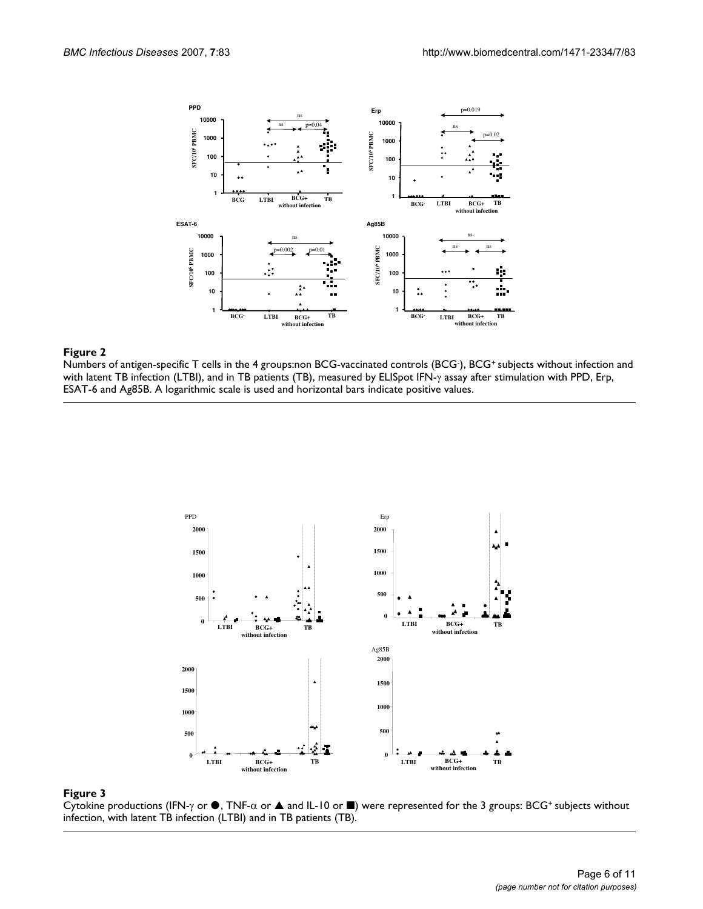

#### Figure 2 ), BCG+ ESAT-6 and Ag85B **Figure 2** with latent TB infection (LTBI), and in TB patients (TB), measured by ELISpot IFN-γ assay after stimulation with PPD, Erp, subjects without infection and

Numbers of antigen-specific T cells in the 4 groups:non BCG-vaccinated controls (BCG- ), BCG+ subjects without infection and with latent TB infection (LTBI), and in TB patients (TB), measured by ELISpot IFN-γ assay after stimulation with PPD, Erp, ESAT-6 and Ag85B. A logarithmic scale is used and horizontal bars indicate positive values.



# **Cytokine infections (IFN-γ or A and IL-10 or A)** were represented for the 3 groups: BCG+ infection, with latent TB infection, with latent TB patients (TB) subjects with latents (TB) subjects without subjects without subj

Cytokine productions (IFN- $\gamma$  or  $\bullet$ , TNF- $\alpha$  or  $\blacktriangle$  and IL-10 or  $\blacksquare$ ) were represented for the 3 groups: BCG<sup>+</sup> subjects without infection, with latent TB infection (LTBI) and in TB patients (TB).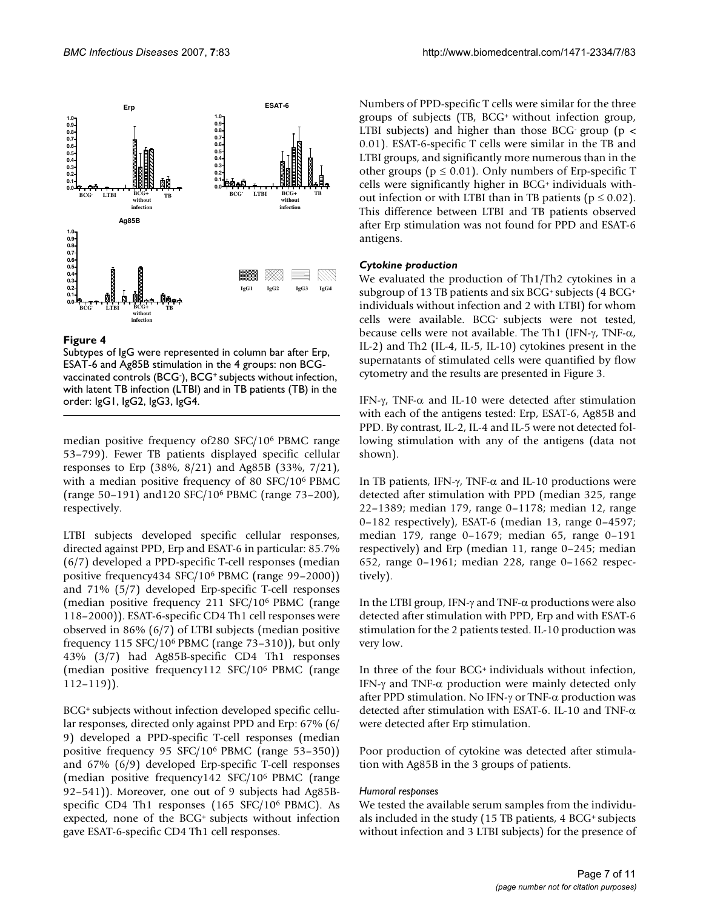

# **Figure 4** Production of the state of the state of the state of the state of the state of the state of the state of the state of the state of the state of the state of the state of the state of the state of the state of th

Subtypes of IgG were represented in column bar after Erp, ESAT-6 and Ag85B stimulation in the 4 groups: non BCGvaccinated controls (BCG- ), BCG+ subjects without infection, with latent TB infection (LTBI) and in TB patients (TB) in the order: IgG1, IgG2, IgG3, IgG4.

median positive frequency of280 SFC/106 PBMC range 53–799). Fewer TB patients displayed specific cellular responses to Erp (38%, 8/21) and Ag85B (33%, 7/21), with a median positive frequency of 80 SFC/106 PBMC (range 50–191) and120 SFC/106 PBMC (range 73–200), respectively.

LTBI subjects developed specific cellular responses, directed against PPD, Erp and ESAT-6 in particular: 85.7% (6/7) developed a PPD-specific T-cell responses (median positive frequency434 SFC/106 PBMC (range 99–2000)) and 71% (5/7) developed Erp-specific T-cell responses (median positive frequency 211 SFC/106 PBMC (range 118–2000)). ESAT-6-specific CD4 Th1 cell responses were observed in 86% (6/7) of LTBI subjects (median positive frequency 115 SFC/106 PBMC (range 73–310)), but only 43% (3/7) had Ag85B-specific CD4 Th1 responses (median positive frequency112 SFC/106 PBMC (range 112–119)).

BCG+ subjects without infection developed specific cellular responses, directed only against PPD and Erp: 67% (6/ 9) developed a PPD-specific T-cell responses (median positive frequency 95 SFC/106 PBMC (range 53–350)) and 67% (6/9) developed Erp-specific T-cell responses (median positive frequency142 SFC/106 PBMC (range 92–541)). Moreover, one out of 9 subjects had Ag85Bspecific CD4 Th1 responses (165 SFC/106 PBMC). As expected, none of the BCG+ subjects without infection gave ESAT-6-specific CD4 Th1 cell responses.

Numbers of PPD-specific T cells were similar for the three groups of subjects (TB, BCG+ without infection group, LTBI subjects) and higher than those BCG group ( $p <$ 0.01). ESAT-6-specific T cells were similar in the TB and LTBI groups, and significantly more numerous than in the other groups ( $p \le 0.01$ ). Only numbers of Erp-specific T cells were significantly higher in BCG+ individuals without infection or with LTBI than in TB patients ( $p \le 0.02$ ). This difference between LTBI and TB patients observed after Erp stimulation was not found for PPD and ESAT-6 antigens.

# *Cytokine production*

We evaluated the production of Th1/Th2 cytokines in a subgroup of 13 TB patients and six BCG+ subjects (4 BCG+ individuals without infection and 2 with LTBI) for whom cells were available. BCG- subjects were not tested, because cells were not available. The Th1 (IFN-γ, TNF-α, IL-2) and Th2 (IL-4, IL-5, IL-10) cytokines present in the supernatants of stimulated cells were quantified by flow cytometry and the results are presented in Figure 3.

IFN-γ, TNF-α and IL-10 were detected after stimulation with each of the antigens tested: Erp, ESAT-6, Ag85B and PPD. By contrast, IL-2, IL-4 and IL-5 were not detected following stimulation with any of the antigens (data not shown).

In TB patients, IFN-γ, TNF- $\alpha$  and IL-10 productions were detected after stimulation with PPD (median 325, range 22–1389; median 179, range 0–1178; median 12, range 0–182 respectively), ESAT-6 (median 13, range 0–4597; median 179, range 0–1679; median 65, range 0–191 respectively) and Erp (median 11, range 0–245; median 652, range 0–1961; median 228, range 0–1662 respectively).

In the LTBI group, IFN- $\gamma$  and TNF- $\alpha$  productions were also detected after stimulation with PPD, Erp and with ESAT-6 stimulation for the 2 patients tested. IL-10 production was very low.

In three of the four BCG+ individuals without infection, IFN-γ and TNF-α production were mainly detected only after PPD stimulation. No IFN-γ or TNF-α production was detected after stimulation with ESAT-6. IL-10 and TNF-α were detected after Erp stimulation.

Poor production of cytokine was detected after stimulation with Ag85B in the 3 groups of patients.

# *Humoral responses*

We tested the available serum samples from the individuals included in the study (15 TB patients, 4 BCG+ subjects without infection and 3 LTBI subjects) for the presence of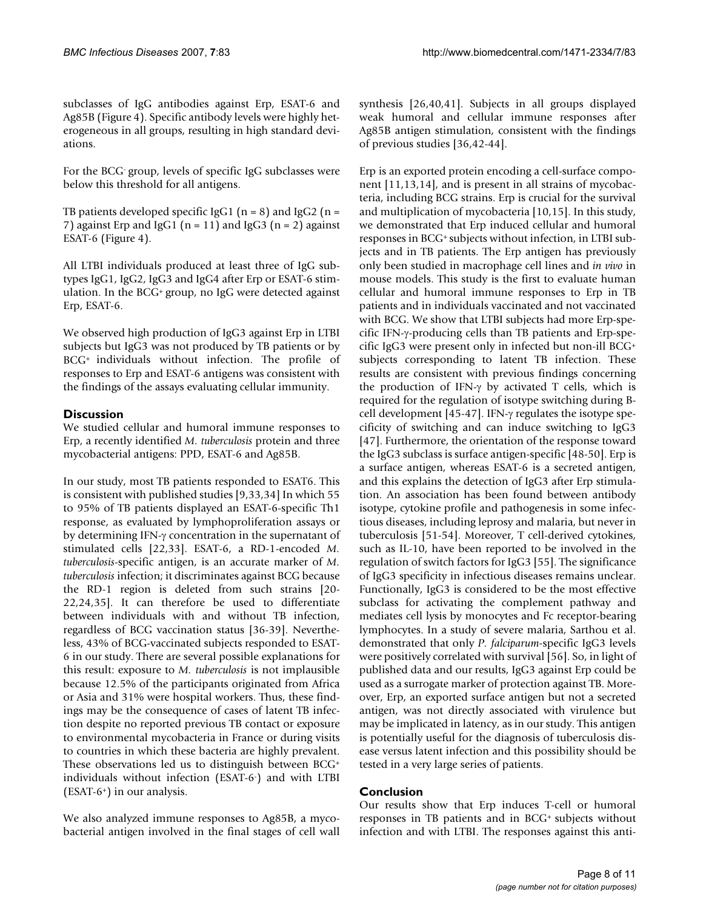subclasses of IgG antibodies against Erp, ESAT-6 and Ag85B (Figure 4). Specific antibody levels were highly heterogeneous in all groups, resulting in high standard deviations.

For the BCG- group, levels of specific IgG subclasses were below this threshold for all antigens.

TB patients developed specific IgG1 ( $n = 8$ ) and IgG2 ( $n =$ 7) against Erp and IgG1 ( $n = 11$ ) and IgG3 ( $n = 2$ ) against ESAT-6 (Figure 4).

All LTBI individuals produced at least three of IgG subtypes IgG1, IgG2, IgG3 and IgG4 after Erp or ESAT-6 stimulation. In the BCG+ group, no IgG were detected against Erp, ESAT-6.

We observed high production of IgG3 against Erp in LTBI subjects but IgG3 was not produced by TB patients or by BCG+ individuals without infection. The profile of responses to Erp and ESAT-6 antigens was consistent with the findings of the assays evaluating cellular immunity.

#### **Discussion**

We studied cellular and humoral immune responses to Erp, a recently identified *M. tuberculosis* protein and three mycobacterial antigens: PPD, ESAT-6 and Ag85B.

In our study, most TB patients responded to ESAT6. This is consistent with published studies [9,33,34] In which 55 to 95% of TB patients displayed an ESAT-6-specific Th1 response, as evaluated by lymphoproliferation assays or by determining IFN-γ concentration in the supernatant of stimulated cells [22,33]. ESAT-6, a RD-1-encoded *M. tuberculosis*-specific antigen, is an accurate marker of *M. tuberculosis* infection; it discriminates against BCG because the RD-1 region is deleted from such strains [20- 22,24,35]. It can therefore be used to differentiate between individuals with and without TB infection, regardless of BCG vaccination status [36-39]. Nevertheless, 43% of BCG-vaccinated subjects responded to ESAT-6 in our study. There are several possible explanations for this result: exposure to *M. tuberculosis* is not implausible because 12.5% of the participants originated from Africa or Asia and 31% were hospital workers. Thus, these findings may be the consequence of cases of latent TB infection despite no reported previous TB contact or exposure to environmental mycobacteria in France or during visits to countries in which these bacteria are highly prevalent. These observations led us to distinguish between BCG+ individuals without infection (ESAT-6- ) and with LTBI (ESAT-6+) in our analysis.

We also analyzed immune responses to Ag85B, a mycobacterial antigen involved in the final stages of cell wall

synthesis [26,40,41]. Subjects in all groups displayed weak humoral and cellular immune responses after Ag85B antigen stimulation, consistent with the findings of previous studies [36,42-44].

Erp is an exported protein encoding a cell-surface component [11,13,14], and is present in all strains of mycobacteria, including BCG strains. Erp is crucial for the survival and multiplication of mycobacteria [10,15]. In this study, we demonstrated that Erp induced cellular and humoral responses in BCG+ subjects without infection, in LTBI subjects and in TB patients. The Erp antigen has previously only been studied in macrophage cell lines and *in vivo* in mouse models. This study is the first to evaluate human cellular and humoral immune responses to Erp in TB patients and in individuals vaccinated and not vaccinated with BCG. We show that LTBI subjects had more Erp-specific IFN-γ-producing cells than TB patients and Erp-specific IgG3 were present only in infected but non-ill BCG+ subjects corresponding to latent TB infection. These results are consistent with previous findings concerning the production of IFN-γ by activated T cells, which is required for the regulation of isotype switching during Bcell development [45-47]. IFN-γ regulates the isotype specificity of switching and can induce switching to IgG3 [47]. Furthermore, the orientation of the response toward the IgG3 subclass is surface antigen-specific [48-50]. Erp is a surface antigen, whereas ESAT-6 is a secreted antigen, and this explains the detection of IgG3 after Erp stimulation. An association has been found between antibody isotype, cytokine profile and pathogenesis in some infectious diseases, including leprosy and malaria, but never in tuberculosis [51-54]. Moreover, T cell-derived cytokines, such as IL-10, have been reported to be involved in the regulation of switch factors for IgG3 [55]. The significance of IgG3 specificity in infectious diseases remains unclear. Functionally, IgG3 is considered to be the most effective subclass for activating the complement pathway and mediates cell lysis by monocytes and Fc receptor-bearing lymphocytes. In a study of severe malaria, Sarthou et al. demonstrated that only *P. falciparum-*specific IgG3 levels were positively correlated with survival [56]. So, in light of published data and our results, IgG3 against Erp could be used as a surrogate marker of protection against TB. Moreover, Erp, an exported surface antigen but not a secreted antigen, was not directly associated with virulence but may be implicated in latency, as in our study. This antigen is potentially useful for the diagnosis of tuberculosis disease versus latent infection and this possibility should be tested in a very large series of patients.

#### **Conclusion**

Our results show that Erp induces T-cell or humoral responses in TB patients and in BCG+ subjects without infection and with LTBI. The responses against this anti-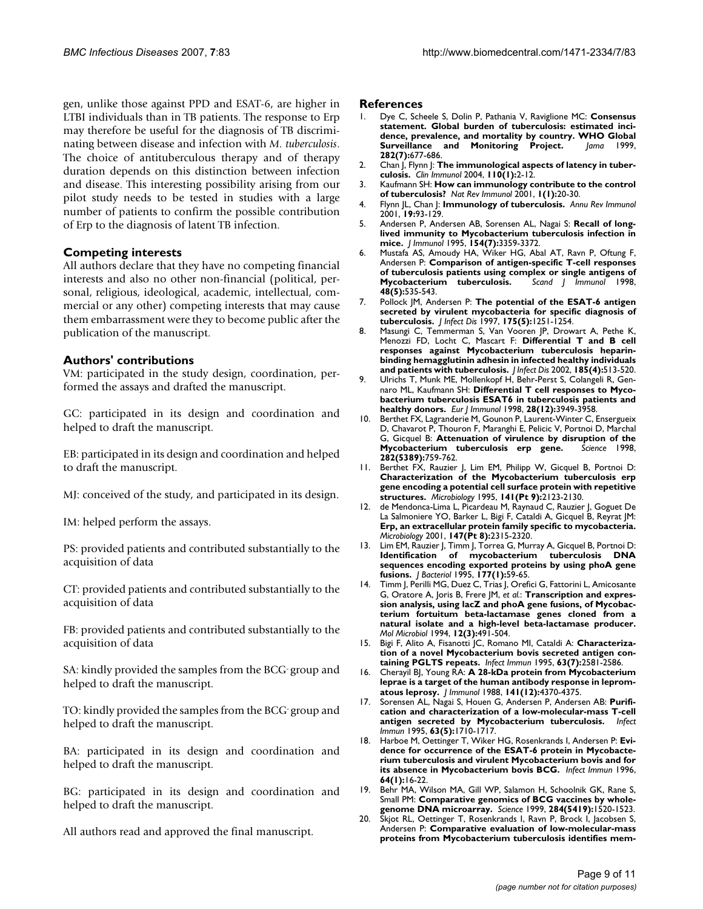gen, unlike those against PPD and ESAT-6, are higher in LTBI individuals than in TB patients. The response to Erp may therefore be useful for the diagnosis of TB discriminating between disease and infection with *M. tuberculosis*. The choice of antituberculous therapy and of therapy duration depends on this distinction between infection and disease. This interesting possibility arising from our pilot study needs to be tested in studies with a large number of patients to confirm the possible contribution of Erp to the diagnosis of latent TB infection.

#### **Competing interests**

All authors declare that they have no competing financial interests and also no other non-financial (political, personal, religious, ideological, academic, intellectual, commercial or any other) competing interests that may cause them embarrassment were they to become public after the publication of the manuscript.

#### **Authors' contributions**

VM: participated in the study design, coordination, performed the assays and drafted the manuscript.

GC: participated in its design and coordination and helped to draft the manuscript.

EB: participated in its design and coordination and helped to draft the manuscript.

MJ: conceived of the study, and participated in its design.

IM: helped perform the assays.

PS: provided patients and contributed substantially to the acquisition of data

CT: provided patients and contributed substantially to the acquisition of data

FB: provided patients and contributed substantially to the acquisition of data

SA: kindly provided the samples from the BCG- group and helped to draft the manuscript.

TO: kindly provided the samples from the BCG- group and helped to draft the manuscript.

BA: participated in its design and coordination and helped to draft the manuscript.

BG: participated in its design and coordination and helped to draft the manuscript.

All authors read and approved the final manuscript.

#### **References**

- 1. Dye C, Scheele S, Dolin P, Pathania V, Raviglione MC: **[Consensus](http://www.ncbi.nlm.nih.gov/entrez/query.fcgi?cmd=Retrieve&db=PubMed&dopt=Abstract&list_uids=10517722) [statement. Global burden of tuberculosis: estimated inci](http://www.ncbi.nlm.nih.gov/entrez/query.fcgi?cmd=Retrieve&db=PubMed&dopt=Abstract&list_uids=10517722)dence, prevalence, and mortality by country. WHO Global [Surveillance and Monitoring Project.](http://www.ncbi.nlm.nih.gov/entrez/query.fcgi?cmd=Retrieve&db=PubMed&dopt=Abstract&list_uids=10517722)** *Jama* 1999, **282(7):**677-686.
- 2. Chan J, Flynn J: [The immunological aspects of latency in tuber](http://www.ncbi.nlm.nih.gov/entrez/query.fcgi?cmd=Retrieve&db=PubMed&dopt=Abstract&list_uids=14986673)**[culosis.](http://www.ncbi.nlm.nih.gov/entrez/query.fcgi?cmd=Retrieve&db=PubMed&dopt=Abstract&list_uids=14986673)** *Clin Immunol* 2004, **110(1):**2-12.
- 3. Kaufmann SH: **[How can immunology contribute to the control](http://www.ncbi.nlm.nih.gov/entrez/query.fcgi?cmd=Retrieve&db=PubMed&dopt=Abstract&list_uids=11905811) [of tuberculosis?](http://www.ncbi.nlm.nih.gov/entrez/query.fcgi?cmd=Retrieve&db=PubMed&dopt=Abstract&list_uids=11905811)** *Nat Rev Immunol* 2001, **1(1):**20-30.
- 4. Flynn JL, Chan J: **[Immunology of tuberculosis.](http://www.ncbi.nlm.nih.gov/entrez/query.fcgi?cmd=Retrieve&db=PubMed&dopt=Abstract&list_uids=11244032)** *Annu Rev Immunol* 2001, **19:**93-129.
- 5. Andersen P, Andersen AB, Sorensen AL, Nagai S: **[Recall of long](http://www.ncbi.nlm.nih.gov/entrez/query.fcgi?cmd=Retrieve&db=PubMed&dopt=Abstract&list_uids=7897219)[lived immunity to Mycobacterium tuberculosis infection in](http://www.ncbi.nlm.nih.gov/entrez/query.fcgi?cmd=Retrieve&db=PubMed&dopt=Abstract&list_uids=7897219) [mice.](http://www.ncbi.nlm.nih.gov/entrez/query.fcgi?cmd=Retrieve&db=PubMed&dopt=Abstract&list_uids=7897219)** *J Immunol* 1995, **154(7):**3359-3372.
- 6. Mustafa AS, Amoudy HA, Wiker HG, Abal AT, Ravn P, Oftung F, Andersen P: **[Comparison of antigen-specific T-cell responses](http://www.ncbi.nlm.nih.gov/entrez/query.fcgi?cmd=Retrieve&db=PubMed&dopt=Abstract&list_uids=9822264) [of tuberculosis patients using complex or single antigens of](http://www.ncbi.nlm.nih.gov/entrez/query.fcgi?cmd=Retrieve&db=PubMed&dopt=Abstract&list_uids=9822264) [Mycobacterium tuberculosis.](http://www.ncbi.nlm.nih.gov/entrez/query.fcgi?cmd=Retrieve&db=PubMed&dopt=Abstract&list_uids=9822264)** *Scand J Immunol* 1998, **48(5):**535-543.
- 7. Pollock JM, Andersen P: **[The potential of the ESAT-6 antigen](http://www.ncbi.nlm.nih.gov/entrez/query.fcgi?cmd=Retrieve&db=PubMed&dopt=Abstract&list_uids=9129098) [secreted by virulent mycobacteria for specific diagnosis of](http://www.ncbi.nlm.nih.gov/entrez/query.fcgi?cmd=Retrieve&db=PubMed&dopt=Abstract&list_uids=9129098) [tuberculosis.](http://www.ncbi.nlm.nih.gov/entrez/query.fcgi?cmd=Retrieve&db=PubMed&dopt=Abstract&list_uids=9129098)** *J Infect Dis* 1997, **175(5):**1251-1254.
- 8. Masungi C, Temmerman S, Van Vooren JP, Drowart A, Pethe K, Menozzi FD, Locht C, Mascart F: **[Differential T and B cell](http://www.ncbi.nlm.nih.gov/entrez/query.fcgi?cmd=Retrieve&db=PubMed&dopt=Abstract&list_uids=11865404) [responses against Mycobacterium tuberculosis heparin](http://www.ncbi.nlm.nih.gov/entrez/query.fcgi?cmd=Retrieve&db=PubMed&dopt=Abstract&list_uids=11865404)binding hemagglutinin adhesin in infected healthy individuals [and patients with tuberculosis.](http://www.ncbi.nlm.nih.gov/entrez/query.fcgi?cmd=Retrieve&db=PubMed&dopt=Abstract&list_uids=11865404)** *J Infect Dis* 2002, **185(4):**513-520.
- 9. Ulrichs T, Munk ME, Mollenkopf H, Behr-Perst S, Colangeli R, Gennaro ML, Kaufmann SH: **[Differential T cell responses to Myco](http://www.ncbi.nlm.nih.gov/entrez/query.fcgi?cmd=Retrieve&db=PubMed&dopt=Abstract&list_uids=9862331)[bacterium tuberculosis ESAT6 in tuberculosis patients and](http://www.ncbi.nlm.nih.gov/entrez/query.fcgi?cmd=Retrieve&db=PubMed&dopt=Abstract&list_uids=9862331) [healthy donors.](http://www.ncbi.nlm.nih.gov/entrez/query.fcgi?cmd=Retrieve&db=PubMed&dopt=Abstract&list_uids=9862331)** *Eur J Immunol* 1998, **28(12):**3949-3958.
- 10. Berthet FX, Lagranderie M, Gounon P, Laurent-Winter C, Ensergueix D, Chavarot P, Thouron F, Maranghi E, Pelicic V, Portnoi D, Marchal G, Gicquel B: **[Attenuation of virulence by disruption of the](http://www.ncbi.nlm.nih.gov/entrez/query.fcgi?cmd=Retrieve&db=PubMed&dopt=Abstract&list_uids=9784137) [Mycobacterium tuberculosis erp gene.](http://www.ncbi.nlm.nih.gov/entrez/query.fcgi?cmd=Retrieve&db=PubMed&dopt=Abstract&list_uids=9784137)** *Science* 1998, **282(5389):**759-762.
- 11. Berthet FX, Rauzier J, Lim EM, Philipp W, Gicquel B, Portnoi D: **[Characterization of the Mycobacterium tuberculosis erp](http://www.ncbi.nlm.nih.gov/entrez/query.fcgi?cmd=Retrieve&db=PubMed&dopt=Abstract&list_uids=7496523) gene encoding a potential cell surface protein with repetitive [structures.](http://www.ncbi.nlm.nih.gov/entrez/query.fcgi?cmd=Retrieve&db=PubMed&dopt=Abstract&list_uids=7496523)** *Microbiology* 1995, **141(Pt 9):**2123-2130.
- 12. de Mendonca-Lima L, Picardeau M, Raynaud C, Rauzier J, Goguet De La Salmoniere YO, Barker L, Bigi F, Cataldi A, Gicquel B, Reyrat JM: **[Erp, an extracellular protein family specific to mycobacteria.](http://www.ncbi.nlm.nih.gov/entrez/query.fcgi?cmd=Retrieve&db=PubMed&dopt=Abstract&list_uids=11496008)** *Microbiology* 2001, **147(Pt 8):**2315-2320.
- 13. Lim EM, Rauzier J, Timm J, Torrea G, Murray A, Gicquel B, Portnoi D: **[Identification of mycobacterium tuberculosis DNA](http://www.ncbi.nlm.nih.gov/entrez/query.fcgi?cmd=Retrieve&db=PubMed&dopt=Abstract&list_uids=7798150) sequences encoding exported proteins by using phoA gene [fusions.](http://www.ncbi.nlm.nih.gov/entrez/query.fcgi?cmd=Retrieve&db=PubMed&dopt=Abstract&list_uids=7798150)** *J Bacteriol* 1995, **177(1):**59-65.
- 14. Timm J, Perilli MG, Duez C, Trias J, Orefici G, Fattorini L, Amicosante G, Oratore A, Joris B, Frere JM, *et al.*: **[Transcription and expres](http://www.ncbi.nlm.nih.gov/entrez/query.fcgi?cmd=Retrieve&db=PubMed&dopt=Abstract&list_uids=8065266)[sion analysis, using lacZ and phoA gene fusions, of Mycobac](http://www.ncbi.nlm.nih.gov/entrez/query.fcgi?cmd=Retrieve&db=PubMed&dopt=Abstract&list_uids=8065266)terium fortuitum beta-lactamase genes cloned from a natural isolate and a high-level beta-lactamase producer.** *Mol Microbiol* 1994, **12(3):**491-504.
- 15. Bigi F, Alito A, Fisanotti JC, Romano MI, Cataldi A: **[Characteriza](http://www.ncbi.nlm.nih.gov/entrez/query.fcgi?cmd=Retrieve&db=PubMed&dopt=Abstract&list_uids=7790072)[tion of a novel Mycobacterium bovis secreted antigen con](http://www.ncbi.nlm.nih.gov/entrez/query.fcgi?cmd=Retrieve&db=PubMed&dopt=Abstract&list_uids=7790072)[taining PGLTS repeats.](http://www.ncbi.nlm.nih.gov/entrez/query.fcgi?cmd=Retrieve&db=PubMed&dopt=Abstract&list_uids=7790072)** *Infect Immun* 1995, **63(7):**2581-2586.
- 16. Cherayil BJ, Young RA: **[A 28-kDa protein from Mycobacterium](http://www.ncbi.nlm.nih.gov/entrez/query.fcgi?cmd=Retrieve&db=PubMed&dopt=Abstract&list_uids=3058804) [leprae is a target of the human antibody response in leprom](http://www.ncbi.nlm.nih.gov/entrez/query.fcgi?cmd=Retrieve&db=PubMed&dopt=Abstract&list_uids=3058804)[atous leprosy.](http://www.ncbi.nlm.nih.gov/entrez/query.fcgi?cmd=Retrieve&db=PubMed&dopt=Abstract&list_uids=3058804)** *J Immunol* 1988, **141(12):**4370-4375.
- 17. Sorensen AL, Nagai S, Houen G, Andersen P, Andersen AB: **[Purifi](http://www.ncbi.nlm.nih.gov/entrez/query.fcgi?cmd=Retrieve&db=PubMed&dopt=Abstract&list_uids=7729876)[cation and characterization of a low-molecular-mass T-cell](http://www.ncbi.nlm.nih.gov/entrez/query.fcgi?cmd=Retrieve&db=PubMed&dopt=Abstract&list_uids=7729876) [antigen secreted by Mycobacterium tuberculosis.](http://www.ncbi.nlm.nih.gov/entrez/query.fcgi?cmd=Retrieve&db=PubMed&dopt=Abstract&list_uids=7729876)** *Infect Immun* 1995, **63(5):**1710-1717.
- 18. Harboe M, Oettinger T, Wiker HG, Rosenkrands I, Andersen P: **[Evi](http://www.ncbi.nlm.nih.gov/entrez/query.fcgi?cmd=Retrieve&db=PubMed&dopt=Abstract&list_uids=8557334)[dence for occurrence of the ESAT-6 protein in Mycobacte](http://www.ncbi.nlm.nih.gov/entrez/query.fcgi?cmd=Retrieve&db=PubMed&dopt=Abstract&list_uids=8557334)rium tuberculosis and virulent Mycobacterium bovis and for [its absence in Mycobacterium bovis BCG.](http://www.ncbi.nlm.nih.gov/entrez/query.fcgi?cmd=Retrieve&db=PubMed&dopt=Abstract&list_uids=8557334)** *Infect Immun* 1996, **64(1):**16-22.
- 19. Behr MA, Wilson MA, Gill WP, Salamon H, Schoolnik GK, Rane S, Small PM: **[Comparative genomics of BCG vaccines by whole](http://www.ncbi.nlm.nih.gov/entrez/query.fcgi?cmd=Retrieve&db=PubMed&dopt=Abstract&list_uids=10348738)[genome DNA microarray.](http://www.ncbi.nlm.nih.gov/entrez/query.fcgi?cmd=Retrieve&db=PubMed&dopt=Abstract&list_uids=10348738)** *Science* 1999, **284(5419):**1520-1523.
- 20. Skjot RL, Oettinger T, Rosenkrands I, Ravn P, Brock I, Jacobsen S, Andersen P: **[Comparative evaluation of low-molecular-mass](http://www.ncbi.nlm.nih.gov/entrez/query.fcgi?cmd=Retrieve&db=PubMed&dopt=Abstract&list_uids=10603390) [proteins from Mycobacterium tuberculosis identifies mem](http://www.ncbi.nlm.nih.gov/entrez/query.fcgi?cmd=Retrieve&db=PubMed&dopt=Abstract&list_uids=10603390)-**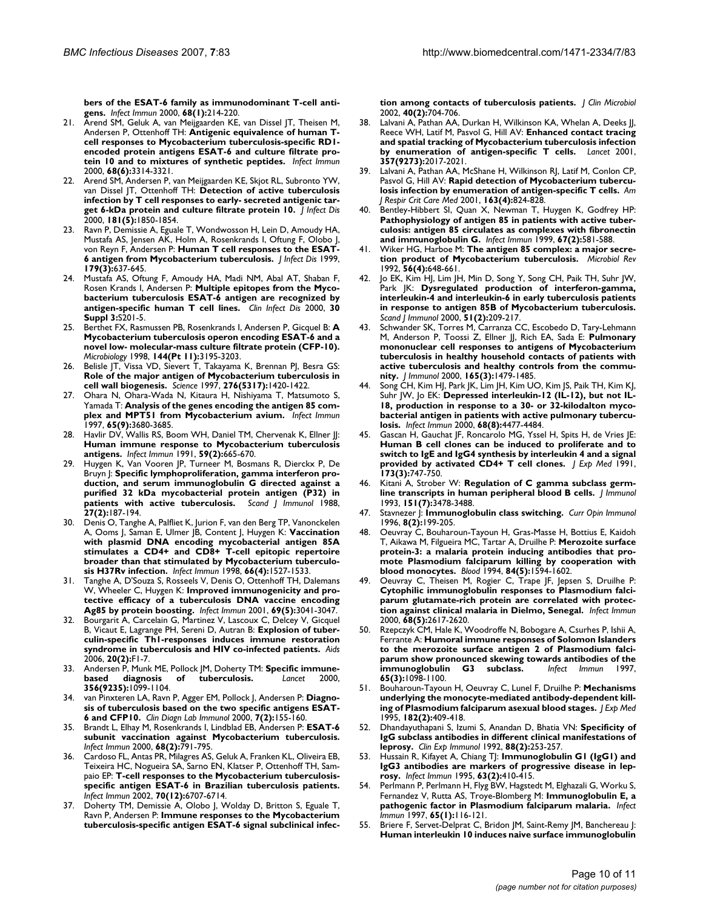**[bers of the ESAT-6 family as immunodominant T-cell anti](http://www.ncbi.nlm.nih.gov/entrez/query.fcgi?cmd=Retrieve&db=PubMed&dopt=Abstract&list_uids=10603390)[gens.](http://www.ncbi.nlm.nih.gov/entrez/query.fcgi?cmd=Retrieve&db=PubMed&dopt=Abstract&list_uids=10603390)** *Infect Immun* 2000, **68(1):**214-220.

- 21. Arend SM, Geluk A, van Meijgaarden KE, van Dissel JT, Theisen M, Andersen P, Ottenhoff TH: **[Antigenic equivalence of human T](http://www.ncbi.nlm.nih.gov/entrez/query.fcgi?cmd=Retrieve&db=PubMed&dopt=Abstract&list_uids=10816479)[cell responses to Mycobacterium tuberculosis-specific RD1](http://www.ncbi.nlm.nih.gov/entrez/query.fcgi?cmd=Retrieve&db=PubMed&dopt=Abstract&list_uids=10816479) encoded protein antigens ESAT-6 and culture filtrate pro[tein 10 and to mixtures of synthetic peptides.](http://www.ncbi.nlm.nih.gov/entrez/query.fcgi?cmd=Retrieve&db=PubMed&dopt=Abstract&list_uids=10816479)** *Infect Immun* 2000, **68(6):**3314-3321.
- 22. Arend SM, Andersen P, van Meijgaarden KE, Skjot RL, Subronto YW, van Dissel JT, Ottenhoff TH: **[Detection of active tuberculosis](http://www.ncbi.nlm.nih.gov/entrez/query.fcgi?cmd=Retrieve&db=PubMed&dopt=Abstract&list_uids=10823800) [infection by T cell responses to early- secreted antigenic tar](http://www.ncbi.nlm.nih.gov/entrez/query.fcgi?cmd=Retrieve&db=PubMed&dopt=Abstract&list_uids=10823800)[get 6-kDa protein and culture filtrate protein 10.](http://www.ncbi.nlm.nih.gov/entrez/query.fcgi?cmd=Retrieve&db=PubMed&dopt=Abstract&list_uids=10823800)** *J Infect Dis* 2000, **181(5):**1850-1854.
- 23. Ravn P, Demissie A, Eguale T, Wondwosson H, Lein D, Amoudy HA, Mustafa AS, Jensen AK, Holm A, Rosenkrands I, Oftung F, Olobo J, von Reyn F, Andersen P: **[Human T cell responses to the ESAT-](http://www.ncbi.nlm.nih.gov/entrez/query.fcgi?cmd=Retrieve&db=PubMed&dopt=Abstract&list_uids=9952370)[6 antigen from Mycobacterium tuberculosis.](http://www.ncbi.nlm.nih.gov/entrez/query.fcgi?cmd=Retrieve&db=PubMed&dopt=Abstract&list_uids=9952370)** *J Infect Dis* 1999, **179(3):**637-645.
- 24. Mustafa AS, Oftung F, Amoudy HA, Madi NM, Abal AT, Shaban F, Rosen Krands I, Andersen P: **[Multiple epitopes from the Myco](http://www.ncbi.nlm.nih.gov/entrez/query.fcgi?cmd=Retrieve&db=PubMed&dopt=Abstract&list_uids=10875783)[bacterium tuberculosis ESAT-6 antigen are recognized by](http://www.ncbi.nlm.nih.gov/entrez/query.fcgi?cmd=Retrieve&db=PubMed&dopt=Abstract&list_uids=10875783) [antigen-specific human T cell lines.](http://www.ncbi.nlm.nih.gov/entrez/query.fcgi?cmd=Retrieve&db=PubMed&dopt=Abstract&list_uids=10875783)** *Clin Infect Dis* 2000, **30 Suppl 3:**S201-5.
- 25. Berthet FX, Rasmussen PB, Rosenkrands I, Andersen P, Gicquel B: **[A](http://www.ncbi.nlm.nih.gov/entrez/query.fcgi?cmd=Retrieve&db=PubMed&dopt=Abstract&list_uids=9846755) [Mycobacterium tuberculosis operon encoding ESAT-6 and a](http://www.ncbi.nlm.nih.gov/entrez/query.fcgi?cmd=Retrieve&db=PubMed&dopt=Abstract&list_uids=9846755) novel low- molecular-mass culture filtrate protein (CFP-10).** *Microbiology* 1998, **144(Pt 11):**3195-3203.
- 26. Belisle JT, Vissa VD, Sievert T, Takayama K, Brennan PJ, Besra GS: **[Role of the major antigen of Mycobacterium tuberculosis in](http://www.ncbi.nlm.nih.gov/entrez/query.fcgi?cmd=Retrieve&db=PubMed&dopt=Abstract&list_uids=9162010) [cell wall biogenesis.](http://www.ncbi.nlm.nih.gov/entrez/query.fcgi?cmd=Retrieve&db=PubMed&dopt=Abstract&list_uids=9162010)** *Science* 1997, **276(5317):**1420-1422.
- Ohara N, Ohara-Wada N, Kitaura H, Nishiyama T, Matsumoto S, Yamada T: **[Analysis of the genes encoding the antigen 85 com](http://www.ncbi.nlm.nih.gov/entrez/query.fcgi?cmd=Retrieve&db=PubMed&dopt=Abstract&list_uids=9284137)[plex and MPT51 from Mycobacterium avium.](http://www.ncbi.nlm.nih.gov/entrez/query.fcgi?cmd=Retrieve&db=PubMed&dopt=Abstract&list_uids=9284137)** *Infect Immun* 1997, **65(9):**3680-3685.
- 28. Havlir DV, Wallis RS, Boom WH, Daniel TM, Chervenak K, Ellner JJ: **[Human immune response to Mycobacterium tuberculosis](http://www.ncbi.nlm.nih.gov/entrez/query.fcgi?cmd=Retrieve&db=PubMed&dopt=Abstract&list_uids=1898911) [antigens.](http://www.ncbi.nlm.nih.gov/entrez/query.fcgi?cmd=Retrieve&db=PubMed&dopt=Abstract&list_uids=1898911)** *Infect Immun* 1991, **59(2):**665-670.
- 29. Huygen K, Van Vooren JP, Turneer M, Bosmans R, Dierckx P, De Bruyn J: **[Specific lymphoproliferation, gamma interferon pro](http://www.ncbi.nlm.nih.gov/entrez/query.fcgi?cmd=Retrieve&db=PubMed&dopt=Abstract&list_uids=3124263)[duction, and serum immunoglobulin G directed against a](http://www.ncbi.nlm.nih.gov/entrez/query.fcgi?cmd=Retrieve&db=PubMed&dopt=Abstract&list_uids=3124263) purified 32 kDa mycobacterial protein antigen (P32) in [patients with active tuberculosis.](http://www.ncbi.nlm.nih.gov/entrez/query.fcgi?cmd=Retrieve&db=PubMed&dopt=Abstract&list_uids=3124263)** *Scand J Immunol* 1988, **27(2):**187-194.
- 30. Denis O, Tanghe A, Palfliet K, Jurion F, van den Berg TP, Vanonckelen A, Ooms J, Saman E, Ulmer JB, Content J, Huygen K: **[Vaccination](http://www.ncbi.nlm.nih.gov/entrez/query.fcgi?cmd=Retrieve&db=PubMed&dopt=Abstract&list_uids=9529077) with plasmid DNA encoding mycobacterial antigen 85A [stimulates a CD4+ and CD8+ T-cell epitopic repertoire](http://www.ncbi.nlm.nih.gov/entrez/query.fcgi?cmd=Retrieve&db=PubMed&dopt=Abstract&list_uids=9529077) broader than that stimulated by Mycobacterium tuberculo[sis H37Rv infection.](http://www.ncbi.nlm.nih.gov/entrez/query.fcgi?cmd=Retrieve&db=PubMed&dopt=Abstract&list_uids=9529077)** *Infect Immun* 1998, **66(4):**1527-1533.
- 31. Tanghe A, D'Souza S, Rosseels V, Denis O, Ottenhoff TH, Dalemans W, Wheeler C, Huygen K: **[Improved immunogenicity and pro](http://www.ncbi.nlm.nih.gov/entrez/query.fcgi?cmd=Retrieve&db=PubMed&dopt=Abstract&list_uids=11292722)[tective efficacy of a tuberculosis DNA vaccine encoding](http://www.ncbi.nlm.nih.gov/entrez/query.fcgi?cmd=Retrieve&db=PubMed&dopt=Abstract&list_uids=11292722) [Ag85 by protein boosting.](http://www.ncbi.nlm.nih.gov/entrez/query.fcgi?cmd=Retrieve&db=PubMed&dopt=Abstract&list_uids=11292722)** *Infect Immun* 2001, **69(5):**3041-3047.
- 32. Bourgarit A, Carcelain G, Martinez V, Lascoux C, Delcey V, Gicquel B, Vicaut E, Lagrange PH, Sereni D, Autran B: **[Explosion of tuber](http://www.ncbi.nlm.nih.gov/entrez/query.fcgi?cmd=Retrieve&db=PubMed&dopt=Abstract&list_uids=16511406)[culin-specific Th1-responses induces immune restoration](http://www.ncbi.nlm.nih.gov/entrez/query.fcgi?cmd=Retrieve&db=PubMed&dopt=Abstract&list_uids=16511406) [syndrome in tuberculosis and HIV co-infected patients.](http://www.ncbi.nlm.nih.gov/entrez/query.fcgi?cmd=Retrieve&db=PubMed&dopt=Abstract&list_uids=16511406)** *Aids* 2006, **20(2):**F1-7.
- 33. Andersen P, Munk ME, Pollock JM, Doherty TM: **[Specific immune](http://www.ncbi.nlm.nih.gov/entrez/query.fcgi?cmd=Retrieve&db=PubMed&dopt=Abstract&list_uids=11009160)[based diagnosis of tuberculosis.](http://www.ncbi.nlm.nih.gov/entrez/query.fcgi?cmd=Retrieve&db=PubMed&dopt=Abstract&list_uids=11009160)** *Lancet* 2000, **356(9235):**1099-1104.
- 34. van Pinxteren LA, Ravn P, Agger EM, Pollock J, Andersen P: **[Diagno](http://www.ncbi.nlm.nih.gov/entrez/query.fcgi?cmd=Retrieve&db=PubMed&dopt=Abstract&list_uids=10702486)[sis of tuberculosis based on the two specific antigens ESAT-](http://www.ncbi.nlm.nih.gov/entrez/query.fcgi?cmd=Retrieve&db=PubMed&dopt=Abstract&list_uids=10702486)[6 and CFP10.](http://www.ncbi.nlm.nih.gov/entrez/query.fcgi?cmd=Retrieve&db=PubMed&dopt=Abstract&list_uids=10702486)** *Clin Diagn Lab Immunol* 2000, **7(2):**155-160.
- 35. Brandt L, Elhay M, Rosenkrands I, Lindblad EB, Andersen P: **[ESAT-6](http://www.ncbi.nlm.nih.gov/entrez/query.fcgi?cmd=Retrieve&db=PubMed&dopt=Abstract&list_uids=10639447) [subunit vaccination against Mycobacterium tuberculosis.](http://www.ncbi.nlm.nih.gov/entrez/query.fcgi?cmd=Retrieve&db=PubMed&dopt=Abstract&list_uids=10639447)** *Infect Immun* 2000, **68(2):**791-795.
- Cardoso FL, Antas PR, Milagres AS, Geluk A, Franken KL, Oliveira EB, Teixeira HC, Nogueira SA, Sarno EN, Klatser P, Ottenhoff TH, Sampaio EP: **[T-cell responses to the Mycobacterium tuberculosis](http://www.ncbi.nlm.nih.gov/entrez/query.fcgi?cmd=Retrieve&db=PubMed&dopt=Abstract&list_uids=12438345)[specific antigen ESAT-6 in Brazilian tuberculosis patients.](http://www.ncbi.nlm.nih.gov/entrez/query.fcgi?cmd=Retrieve&db=PubMed&dopt=Abstract&list_uids=12438345)** *Infect Immun* 2002, **70(12):**6707-6714.
- Doherty TM, Demissie A, Olobo J, Wolday D, Britton S, Eguale T, Ravn P, Andersen P: **[Immune responses to the Mycobacterium](http://www.ncbi.nlm.nih.gov/entrez/query.fcgi?cmd=Retrieve&db=PubMed&dopt=Abstract&list_uids=11826002) [tuberculosis-specific antigen ESAT-6 signal subclinical infec-](http://www.ncbi.nlm.nih.gov/entrez/query.fcgi?cmd=Retrieve&db=PubMed&dopt=Abstract&list_uids=11826002)**

**[tion among contacts of tuberculosis patients.](http://www.ncbi.nlm.nih.gov/entrez/query.fcgi?cmd=Retrieve&db=PubMed&dopt=Abstract&list_uids=11826002)** *J Clin Microbiol* 2002, **40(2):**704-706.

- 38. Lalvani A, Pathan AA, Durkan H, Wilkinson KA, Whelan A, Deeks JJ, Reece WH, Latif M, Pasvol G, Hill AV: **[Enhanced contact tracing](http://www.ncbi.nlm.nih.gov/entrez/query.fcgi?cmd=Retrieve&db=PubMed&dopt=Abstract&list_uids=11438135) [and spatial tracking of Mycobacterium tuberculosis infection](http://www.ncbi.nlm.nih.gov/entrez/query.fcgi?cmd=Retrieve&db=PubMed&dopt=Abstract&list_uids=11438135) [by enumeration of antigen-specific T cells.](http://www.ncbi.nlm.nih.gov/entrez/query.fcgi?cmd=Retrieve&db=PubMed&dopt=Abstract&list_uids=11438135)** *Lancet* 2001, **357(9273):**2017-2021.
- Lalvani A, Pathan AA, McShane H, Wilkinson RJ, Latif M, Conlon CP, Pasvol G, Hill AV: **[Rapid detection of Mycobacterium tubercu](http://www.ncbi.nlm.nih.gov/entrez/query.fcgi?cmd=Retrieve&db=PubMed&dopt=Abstract&list_uids=11282752)[losis infection by enumeration of antigen-specific T cells.](http://www.ncbi.nlm.nih.gov/entrez/query.fcgi?cmd=Retrieve&db=PubMed&dopt=Abstract&list_uids=11282752)** *Am J Respir Crit Care Med* 2001, **163(4):**824-828.
- Bentley-Hibbert SI, Quan X, Newman T, Huygen K, Godfrey HP: **[Pathophysiology of antigen 85 in patients with active tuber](http://www.ncbi.nlm.nih.gov/entrez/query.fcgi?cmd=Retrieve&db=PubMed&dopt=Abstract&list_uids=9916062)culosis: antigen 85 circulates as complexes with fibronectin [and immunoglobulin G.](http://www.ncbi.nlm.nih.gov/entrez/query.fcgi?cmd=Retrieve&db=PubMed&dopt=Abstract&list_uids=9916062)** *Infect Immun* 1999, **67(2):**581-588.
- 41. Wiker HG, Harboe M: **[The antigen 85 complex: a major secre](http://www.ncbi.nlm.nih.gov/entrez/query.fcgi?cmd=Retrieve&db=PubMed&dopt=Abstract&list_uids=1480113)[tion product of Mycobacterium tuberculosis.](http://www.ncbi.nlm.nih.gov/entrez/query.fcgi?cmd=Retrieve&db=PubMed&dopt=Abstract&list_uids=1480113)** *Microbiol Rev* 1992, **56(4):**648-661.
- 42. Jo EK, Kim HJ, Lim JH, Min D, Song Y, Song CH, Paik TH, Suhr JW, Park JK: **[Dysregulated production of interferon-gamma,](http://www.ncbi.nlm.nih.gov/entrez/query.fcgi?cmd=Retrieve&db=PubMed&dopt=Abstract&list_uids=10652166) [interleukin-4 and interleukin-6 in early tuberculosis patients](http://www.ncbi.nlm.nih.gov/entrez/query.fcgi?cmd=Retrieve&db=PubMed&dopt=Abstract&list_uids=10652166) in response to antigen 85B of Mycobacterium tuberculosis.** *Scand J Immunol* 2000, **51(2):**209-217.
- 43. Schwander SK, Torres M, Carranza CC, Escobedo D, Tary-Lehmann M, Anderson P, Toossi Z, Ellner JJ, Rich EA, Sada E: **[Pulmonary](http://www.ncbi.nlm.nih.gov/entrez/query.fcgi?cmd=Retrieve&db=PubMed&dopt=Abstract&list_uids=10903753) mononuclear cell responses to antigens of Mycobacterium [tuberculosis in healthy household contacts of patients with](http://www.ncbi.nlm.nih.gov/entrez/query.fcgi?cmd=Retrieve&db=PubMed&dopt=Abstract&list_uids=10903753) active tuberculosis and healthy controls from the commu[nity.](http://www.ncbi.nlm.nih.gov/entrez/query.fcgi?cmd=Retrieve&db=PubMed&dopt=Abstract&list_uids=10903753)** *J Immunol* 2000, **165(3):**1479-1485.
- Song CH, Kim HJ, Park JK, Lim JH, Kim UO, Kim JS, Paik TH, Kim KJ, Suhr JW, Jo EK: **[Depressed interleukin-12 \(IL-12\), but not IL-](http://www.ncbi.nlm.nih.gov/entrez/query.fcgi?cmd=Retrieve&db=PubMed&dopt=Abstract&list_uids=10899845)[18, production in response to a 30- or 32-kilodalton myco](http://www.ncbi.nlm.nih.gov/entrez/query.fcgi?cmd=Retrieve&db=PubMed&dopt=Abstract&list_uids=10899845)bacterial antigen in patients with active pulmonary tubercu[losis.](http://www.ncbi.nlm.nih.gov/entrez/query.fcgi?cmd=Retrieve&db=PubMed&dopt=Abstract&list_uids=10899845)** *Infect Immun* 2000, **68(8):**4477-4484.
- Gascan H, Gauchat JF, Roncarolo MG, Yssel H, Spits H, de Vries JE: **[Human B cell clones can be induced to proliferate and to](http://www.ncbi.nlm.nih.gov/entrez/query.fcgi?cmd=Retrieve&db=PubMed&dopt=Abstract&list_uids=1997653) switch to IgE and IgG4 synthesis by interleukin 4 and a signal [provided by activated CD4+ T cell clones.](http://www.ncbi.nlm.nih.gov/entrez/query.fcgi?cmd=Retrieve&db=PubMed&dopt=Abstract&list_uids=1997653)** *J Exp Med* 1991, **173(3):**747-750.
- Kitani A, Strober W: [Regulation of C gamma subclass germ](http://www.ncbi.nlm.nih.gov/entrez/query.fcgi?cmd=Retrieve&db=PubMed&dopt=Abstract&list_uids=8376788)**[line transcripts in human peripheral blood B cells.](http://www.ncbi.nlm.nih.gov/entrez/query.fcgi?cmd=Retrieve&db=PubMed&dopt=Abstract&list_uids=8376788)** *J Immunol* 1993, **151(7):**3478-3488.
- 47. Stavnezer J: **[Immunoglobulin class switching.](http://www.ncbi.nlm.nih.gov/entrez/query.fcgi?cmd=Retrieve&db=PubMed&dopt=Abstract&list_uids=8725943)** *Curr Opin Immunol* 1996, **8(2):**199-205.
- 48. Oeuvray C, Bouharoun-Tayoun H, Gras-Masse H, Bottius E, Kaidoh T, Aikawa M, Filgueira MC, Tartar A, Druilhe P: **[Merozoite surface](http://www.ncbi.nlm.nih.gov/entrez/query.fcgi?cmd=Retrieve&db=PubMed&dopt=Abstract&list_uids=8068948) [protein-3: a malaria protein inducing antibodies that pro](http://www.ncbi.nlm.nih.gov/entrez/query.fcgi?cmd=Retrieve&db=PubMed&dopt=Abstract&list_uids=8068948)mote Plasmodium falciparum killing by cooperation with [blood monocytes.](http://www.ncbi.nlm.nih.gov/entrez/query.fcgi?cmd=Retrieve&db=PubMed&dopt=Abstract&list_uids=8068948)** *Blood* 1994, **84(5):**1594-1602.
- Oeuvray C, Theisen M, Rogier C, Trape JF, Jepsen S, Druilhe P: **[Cytophilic immunoglobulin responses to Plasmodium falci](http://www.ncbi.nlm.nih.gov/entrez/query.fcgi?cmd=Retrieve&db=PubMed&dopt=Abstract&list_uids=10768952)parum glutamate-rich protein are correlated with protec[tion against clinical malaria in Dielmo, Senegal.](http://www.ncbi.nlm.nih.gov/entrez/query.fcgi?cmd=Retrieve&db=PubMed&dopt=Abstract&list_uids=10768952)** *Infect Immun* 2000, **68(5):**2617-2620.
- 50. Rzepczyk CM, Hale K, Woodroffe N, Bobogare A, Csurhes P, Ishii A, Ferrante A: **[Humoral immune responses of Solomon Islanders](http://www.ncbi.nlm.nih.gov/entrez/query.fcgi?cmd=Retrieve&db=PubMed&dopt=Abstract&list_uids=9038322) [to the merozoite surface antigen 2 of Plasmodium falci](http://www.ncbi.nlm.nih.gov/entrez/query.fcgi?cmd=Retrieve&db=PubMed&dopt=Abstract&list_uids=9038322)parum show pronounced skewing towards antibodies of the** Infect Immun 1997, **65(3):**1098-1100.
- 51. Bouharoun-Tayoun H, Oeuvray C, Lunel F, Druilhe P: **[Mechanisms](http://www.ncbi.nlm.nih.gov/entrez/query.fcgi?cmd=Retrieve&db=PubMed&dopt=Abstract&list_uids=7629503) [underlying the monocyte-mediated antibody-dependent kill](http://www.ncbi.nlm.nih.gov/entrez/query.fcgi?cmd=Retrieve&db=PubMed&dopt=Abstract&list_uids=7629503)[ing of Plasmodium falciparum asexual blood stages.](http://www.ncbi.nlm.nih.gov/entrez/query.fcgi?cmd=Retrieve&db=PubMed&dopt=Abstract&list_uids=7629503)** *J Exp Med* 1995, **182(2):**409-418.
- 52. Dhandayuthapani S, Izumi S, Anandan D, Bhatia VN: **[Specificity of](http://www.ncbi.nlm.nih.gov/entrez/query.fcgi?cmd=Retrieve&db=PubMed&dopt=Abstract&list_uids=1572088) [IgG subclass antibodies in different clinical manifestations of](http://www.ncbi.nlm.nih.gov/entrez/query.fcgi?cmd=Retrieve&db=PubMed&dopt=Abstract&list_uids=1572088) [leprosy.](http://www.ncbi.nlm.nih.gov/entrez/query.fcgi?cmd=Retrieve&db=PubMed&dopt=Abstract&list_uids=1572088)** *Clin Exp Immunol* 1992, **88(2):**253-257.
- 53. Hussain R, Kifayet A, Chiang TJ: **[Immunoglobulin G1 \(IgG1\) and](http://www.ncbi.nlm.nih.gov/entrez/query.fcgi?cmd=Retrieve&db=PubMed&dopt=Abstract&list_uids=7822004) [IgG3 antibodies are markers of progressive disease in lep](http://www.ncbi.nlm.nih.gov/entrez/query.fcgi?cmd=Retrieve&db=PubMed&dopt=Abstract&list_uids=7822004)[rosy.](http://www.ncbi.nlm.nih.gov/entrez/query.fcgi?cmd=Retrieve&db=PubMed&dopt=Abstract&list_uids=7822004)** *Infect Immun* 1995, **63(2):**410-415.
- 54. Perlmann P, Perlmann H, Flyg BW, Hagstedt M, Elghazali G, Worku S, Fernandez V, Rutta AS, Troye-Blomberg M: **[Immunoglobulin E, a](http://www.ncbi.nlm.nih.gov/entrez/query.fcgi?cmd=Retrieve&db=PubMed&dopt=Abstract&list_uids=8975900) [pathogenic factor in Plasmodium falciparum malaria.](http://www.ncbi.nlm.nih.gov/entrez/query.fcgi?cmd=Retrieve&db=PubMed&dopt=Abstract&list_uids=8975900)** *Infect Immun* 1997, **65(1):**116-121.
- 55. Briere F, Servet-Delprat C, Bridon JM, Saint-Remy JM, Banchereau J: **[Human interleukin 10 induces naive surface immunoglobulin](http://www.ncbi.nlm.nih.gov/entrez/query.fcgi?cmd=Retrieve&db=PubMed&dopt=Abstract&list_uids=8294883)**